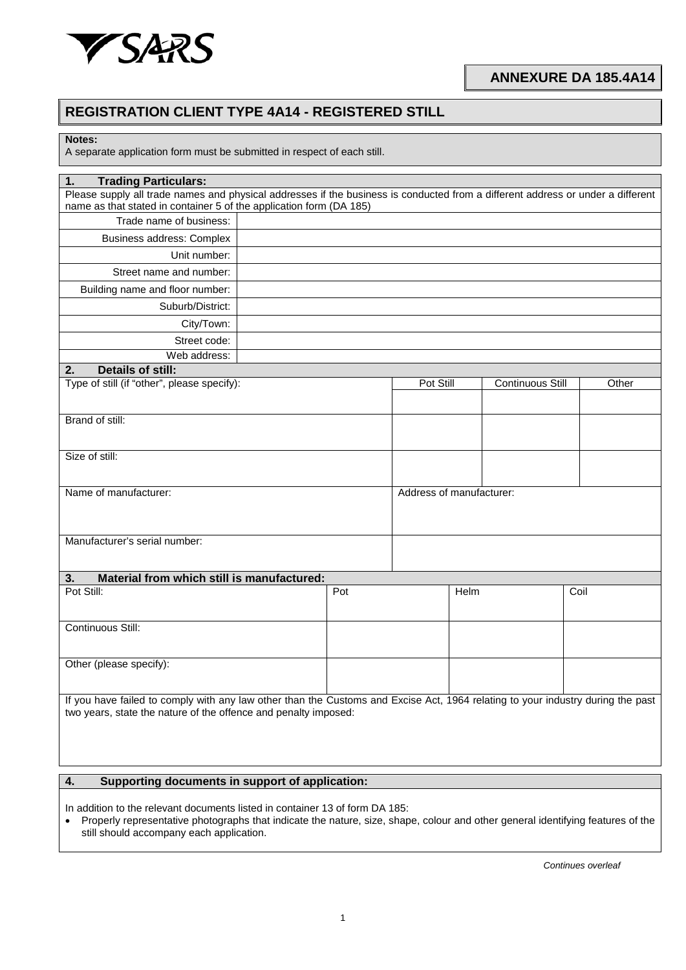

**ANNEXURE DA 185.4A14**

## **REGISTRATION CLIENT TYPE 4A14 - REGISTERED STILL**

**Notes:**

A separate application form must be submitted in respect of each still.

| <b>Trading Particulars:</b><br>1.                                                                                                                                                                  |     |                          |                         |       |  |
|----------------------------------------------------------------------------------------------------------------------------------------------------------------------------------------------------|-----|--------------------------|-------------------------|-------|--|
| Please supply all trade names and physical addresses if the business is conducted from a different address or under a different                                                                    |     |                          |                         |       |  |
| name as that stated in container 5 of the application form (DA 185)                                                                                                                                |     |                          |                         |       |  |
| Trade name of business:                                                                                                                                                                            |     |                          |                         |       |  |
| Business address: Complex                                                                                                                                                                          |     |                          |                         |       |  |
| Unit number:                                                                                                                                                                                       |     |                          |                         |       |  |
| Street name and number:                                                                                                                                                                            |     |                          |                         |       |  |
| Building name and floor number:                                                                                                                                                                    |     |                          |                         |       |  |
| Suburb/District:                                                                                                                                                                                   |     |                          |                         |       |  |
| City/Town:                                                                                                                                                                                         |     |                          |                         |       |  |
| Street code:                                                                                                                                                                                       |     |                          |                         |       |  |
| Web address:                                                                                                                                                                                       |     |                          |                         |       |  |
| <b>Details of still:</b><br>2.                                                                                                                                                                     |     |                          |                         |       |  |
| Type of still (if "other", please specify):                                                                                                                                                        |     | Pot Still                | <b>Continuous Still</b> | Other |  |
|                                                                                                                                                                                                    |     |                          |                         |       |  |
| Brand of still:                                                                                                                                                                                    |     |                          |                         |       |  |
|                                                                                                                                                                                                    |     |                          |                         |       |  |
| Size of still:                                                                                                                                                                                     |     |                          |                         |       |  |
|                                                                                                                                                                                                    |     |                          |                         |       |  |
| Name of manufacturer:                                                                                                                                                                              |     | Address of manufacturer: |                         |       |  |
|                                                                                                                                                                                                    |     |                          |                         |       |  |
|                                                                                                                                                                                                    |     |                          |                         |       |  |
| Manufacturer's serial number:                                                                                                                                                                      |     |                          |                         |       |  |
|                                                                                                                                                                                                    |     |                          |                         |       |  |
| Material from which still is manufactured:<br>3.                                                                                                                                                   |     |                          |                         |       |  |
| Pot Still:                                                                                                                                                                                         | Pot | Helm                     |                         | Coil  |  |
|                                                                                                                                                                                                    |     |                          |                         |       |  |
| Continuous Still:                                                                                                                                                                                  |     |                          |                         |       |  |
|                                                                                                                                                                                                    |     |                          |                         |       |  |
| Other (please specify):                                                                                                                                                                            |     |                          |                         |       |  |
|                                                                                                                                                                                                    |     |                          |                         |       |  |
|                                                                                                                                                                                                    |     |                          |                         |       |  |
| If you have failed to comply with any law other than the Customs and Excise Act, 1964 relating to your industry during the past<br>two years, state the nature of the offence and penalty imposed: |     |                          |                         |       |  |
|                                                                                                                                                                                                    |     |                          |                         |       |  |
|                                                                                                                                                                                                    |     |                          |                         |       |  |
|                                                                                                                                                                                                    |     |                          |                         |       |  |
| Supporting documents in support of application:<br>4.                                                                                                                                              |     |                          |                         |       |  |

In addition to the relevant documents listed in container 13 of form DA 185:

• Properly representative photographs that indicate the nature, size, shape, colour and other general identifying features of the still should accompany each application.